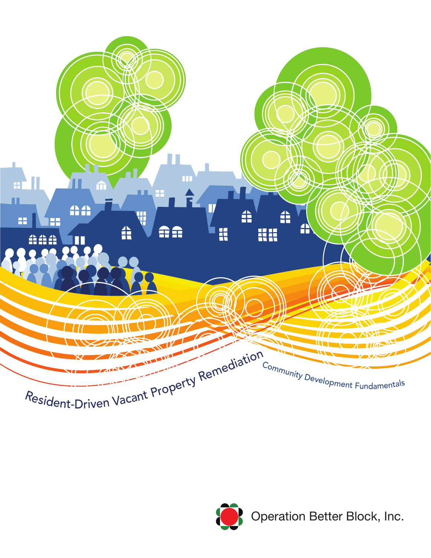

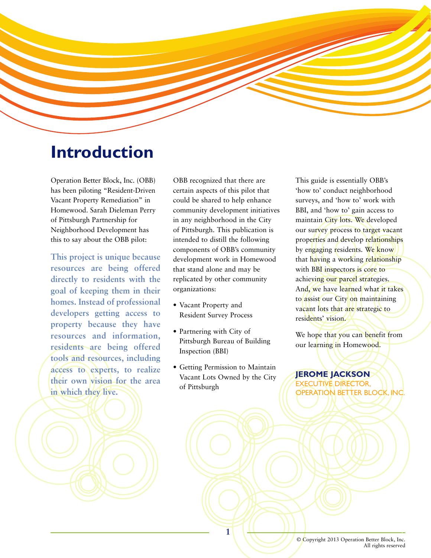

# **Introduction**

Operation Better Block, Inc. (OBB) has been piloting "Resident-Driven Vacant Property Remediation" in Homewood. Sarah Dieleman Perry of Pittsburgh Partnership for Neighborhood Development has this to say about the OBB pilot:

**This project is unique because resources are being offered directly to residents with the goal of keeping them in their homes. Instead of professional developers getting access to property because they have resources and information, residents are being offered tools and resources, including access to experts, to realize their own vision for the area in which they live.**

OBB recognized that there are certain aspects of this pilot that could be shared to help enhance community development initiatives in any neighborhood in the City of Pittsburgh. This publication is intended to distill the following components of OBB's community development work in Homewood that stand alone and may be replicated by other community organizations:

- Vacant Property and Resident Survey Process
- Partnering with City of Pittsburgh Bureau of Building Inspection (BBI)
- Getting Permission to Maintain Vacant Lots Owned by the City of Pittsburgh

This guide is essentially OBB's 'how to' conduct neighborhood surveys, and 'how to' work with BBI, and 'how to' gain access to maintain City lots. We developed our survey process to target vacant properties and develop relationships by engaging residents. We know that having a working relationship with **BBI** inspectors is core to achieving our parcel strategies. And, we have learned what it takes to assist our City on maintaining vacant lots that are strategic to residents' vision.

We hope that you can benefit from our learning in Homewood.

## **JEROME JACKSON**

CUTIVE DIRECTOR. OPERATION BETTER BLOCK, INC.

1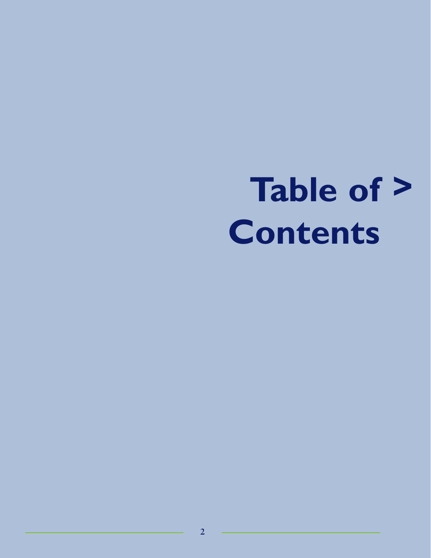# **Table of >Contents**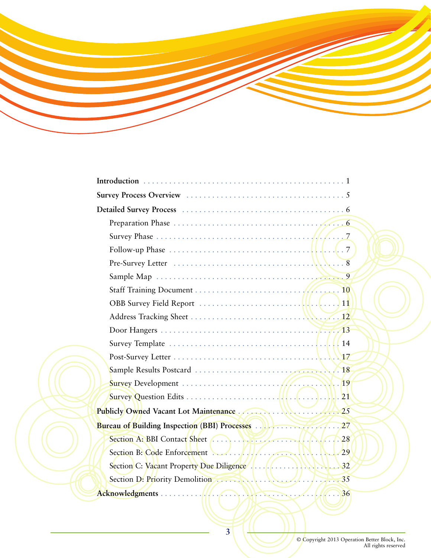

| Follow-up Phase $\ldots \ldots \ldots \ldots \ldots \ldots \ldots \ldots \ldots \ldots \ldots$ |  |
|------------------------------------------------------------------------------------------------|--|
|                                                                                                |  |
|                                                                                                |  |
|                                                                                                |  |
|                                                                                                |  |
|                                                                                                |  |
|                                                                                                |  |
|                                                                                                |  |
|                                                                                                |  |
|                                                                                                |  |
|                                                                                                |  |
|                                                                                                |  |
| Publicly Owned Vacant Lot Maintenance                                                          |  |
|                                                                                                |  |
|                                                                                                |  |
|                                                                                                |  |
|                                                                                                |  |
|                                                                                                |  |
|                                                                                                |  |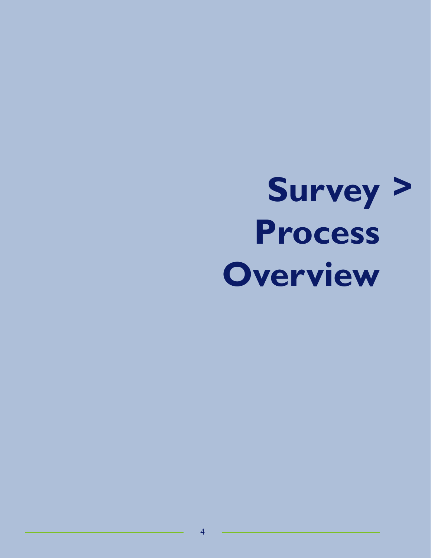# **Survey >Process Overview**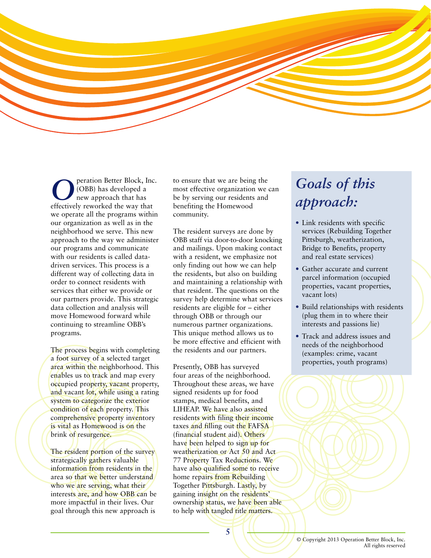

**O** peration Better Block, Inc.<br>
(OBB) has developed a<br>
new approach that has<br>
effectively reworked the way that (OBB) has developed a new approach that has effectively reworked the way that we operate all the programs within our organization as well as in the neighborhood we serve. This new approach to the way we administer our programs and communicate with our residents is called datadriven services. This process is a different way of collecting data in order to connect residents with services that either we provide or our partners provide. This strategic data collection and analysis will move Homewood forward while continuing to streamline OBB's programs.

The process begins with completing a foot survey of a selected target area within the neighborhood. This enables us to track and map every occupied property, vacant property, and vacant lot, while using a rating system to categorize the exterior condition of each property. This comprehensive property inventory is vital as Homewood is on the brink of resurgence.

The resident portion of the survey strategically gathers valuable information from residents in the area so that we better understand who we are serving, what their interests are, and how OBB can be more impactful in their lives. Our goal through this new approach is

to ensure that we are being the most effective organization we can be by serving our residents and benefiting the Homewood community.

The resident surveys are done by OBB staff via door-to-door knocking and mailings. Upon making contact with a resident, we emphasize not only finding out how we can help the residents, but also on building and maintaining a relationship with that resident. The questions on the survey help determine what services residents are eligible for – either through OBB or through our numerous partner organizations. This unique method allows us to be more effective and efficient with the residents and our partners.

Presently, OBB has surveyed four areas of the neighborhood. Throughout these areas, we have signed residents up for food stamps, medical benefits, and LIHEAP. We have also assisted residents with filing their income taxes and filling out the FAFSA (financial student aid). Others have been helped to sign up for weatherization or Act 50 and Act 77 Property Tax Reductions. We have also qualified some to receive home repairs from Rebuilding Together Pittsburgh. Lastly, by gaining insight on the residents' ownership status, we have been able to help with tangled title matters.

# *Goals of this approach:*

- Link residents with specific services (Rebuilding Together Pittsburgh, weatherization, Bridge to Benefits, property and real estate services)
- Gather accurate and current parcel information (occupied properties, vacant properties, vacant lots)
- Build relationships with residents (plug them in to where their interests and passions lie)
- Track and address issues and needs of the neighborhood (examples: crime, vacant properties, youth programs)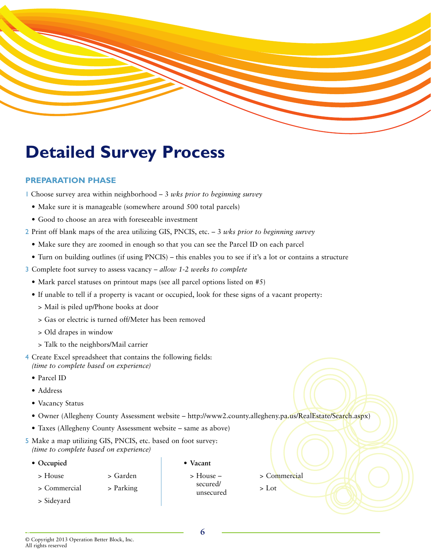

# **Detailed Survey Process**

## **PREPARATION PHASE**

- 1 Choose survey area within neighborhood 3 *wks prior to beginning survey*
	- Make sure it is manageable (somewhere around 500 total parcels)
	- Good to choose an area with foreseeable investment
- 2 Print off blank maps of the area utilizing GIS, PNCIS, etc. 3 *wks prior to beginning survey*
	- Make sure they are zoomed in enough so that you can see the Parcel ID on each parcel
	- Turn on building outlines (if using PNCIS) this enables you to see if it's a lot or contains a structure
- 3 Complete foot survey to assess vacancy *allow 1-2 weeks to complete*
	- Mark parcel statuses on printout maps (see all parcel options listed on #5)
	- If unable to tell if a property is vacant or occupied, look for these signs of a vacant property:
		- > Mail is piled up/Phone books at door
		- > Gas or electric is turned off/Meter has been removed
		- > Old drapes in window
		- > Talk to the neighbors/Mail carrier
- 4 Create Excel spreadsheet that contains the following fields: *(time to complete based on experience)*
	- Parcel ID
	- Address
	- Vacancy Status
	- Owner (Allegheny County Assessment website http://www2.county.allegheny.pa.us/RealEstate/Search.aspx)
	- Taxes (Allegheny County Assessment website same as above)
- 5 Make a map utilizing GIS, PNCIS, etc. based on foot survey: *(time to complete based on experience)*
	- **Occupied**
		-
- **Vacant**
- > House > Garden
- > Commercial > Parking
- > Sideyard

- > House secured/ unsecured
- > Commercial
- > Lot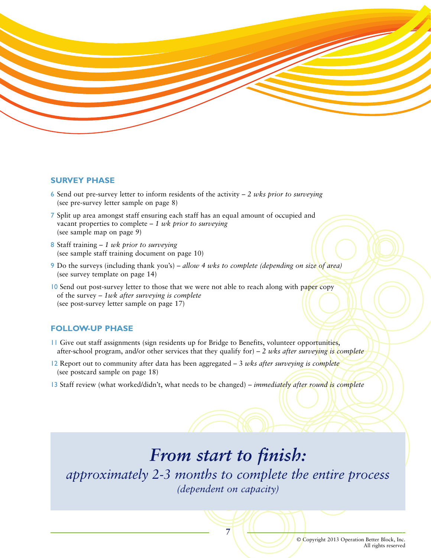

#### **SURVEY PHASE**

- 6 Send out pre-survey letter to inform residents of the activity *2 wks prior to surveying* (see pre-survey letter sample on page 8)
- 7 Split up area amongst staff ensuring each staff has an equal amount of occupied and vacant properties to complete – *1 wk prior to surveying* (see sample map on page 9)
- 8 Staff training *1 wk prior to surveying* (see sample staff training document on page 10)
- 9 Do the surveys (including thank you's) *allow 4 wks to complete (depending on size of area)* (see survey template on page 14)
- 10 Send out post-survey letter to those that we were not able to reach along with paper copy of the survey – *1wk after surveying is complete* (see post-survey letter sample on page 17)

## **FOLLOW-UP PHASE**

- 11 Give out staff assignments (sign residents up for Bridge to Benefits, volunteer opportunities, after-school program, and/or other services that they qualify for) – *2 wks after surveying is complete*
- 12 Report out to community after data has been aggregated 3 *wks after surveying is complete* (see postcard sample on page 18)
- 13 Staff review (what worked/didn't, what needs to be changed) *immediately after round is complete*

# *From start to finish:*

*approximately 2-3 months to complete the entire process (dependent on capacity)*

**7**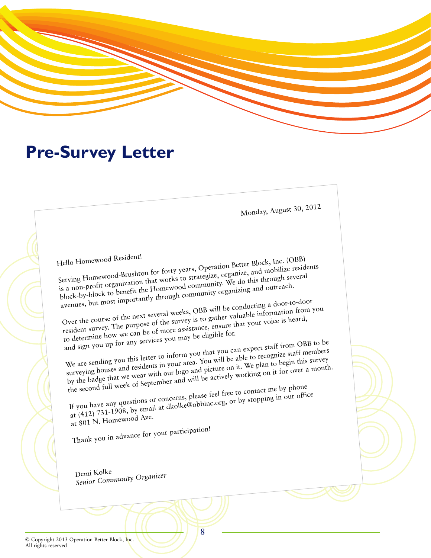

# **Pre-Survey Letter**

Monday, August 30, 2012

Hello Homewood Resident! Serving Homewood-Brushton for forty years, Operation Better Block, Inc. (OBB) is a non-profit organization that works to strategize, organize, and mobilize residents block-by-block to benefit the Homewood community. We do this through several avenues, but most importantly through community organizing and outreach. Over the course of the next several weeks, OBB will be conducting a door-to-door resident survey. The purpose of the survey is to gather valuable information from you

to determine how we can be of more assistance, ensure that your voice is heard, and sign you up for any services you may be eligible for.

We are sending you this letter to inform you that you can expect staff from OBB to be surveying houses and residents in your area. You will be able to recognize staff members by the badge that we wear with our logo and picture on it. We plan to begin this survey the second full week of September and will be actively working on it for over a month.

If you have any questions or concerns, please feel free to contact me by phone at (412) 731-1908, by email at dkolke@obbinc.org, or by stopping in our office at 801 N. Homewood Ave.

Thank you in advance for your participation!

Demi Kolke *Senior Community Organizer*

© Copyright 2013 Operation Better Block, Inc. All rights reserved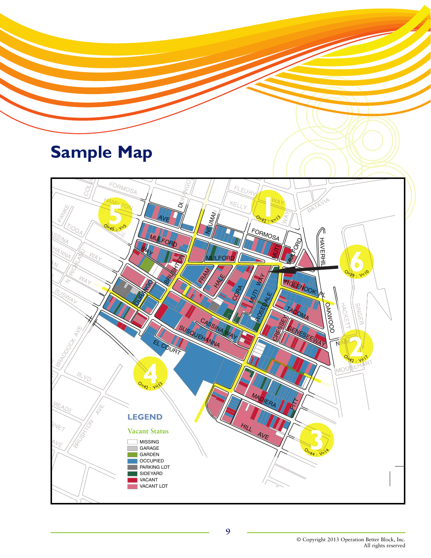# **Sample Map**

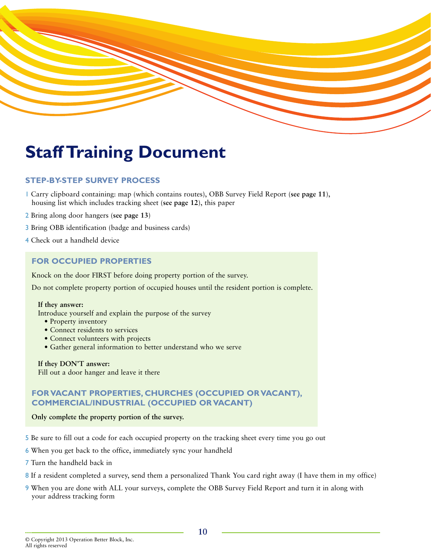

# **Staff Training Document**

# **STEP-BY-STEP SURVEY PROCESS**

- 1 Carry clipboard containing: map (which contains routes), OBB Survey Field Report (**see page 11**), housing list which includes tracking sheet (**see page 12**), this paper
- 2 Bring along door hangers (**see page 13**)
- 3 Bring OBB identification (badge and business cards)
- 4 Check out a handheld device

## **FOR OCCUPIED PROPERTIES**

Knock on the door FIRST before doing property portion of the survey.

Do not complete property portion of occupied houses until the resident portion is complete.

#### **If they answer:**

Introduce yourself and explain the purpose of the survey

- Property inventory
- Connect residents to services
- Connect volunteers with projects
- Gather general information to better understand who we serve

## **If they DON'T answer:**

Fill out a door hanger and leave it there

# **FOR VACANT PROPERTIES, CHURCHES (OCCUPIED OR VACANT), COMMERCIAL/INDUSTRIAL (OCCUPIED OR VACANT)**

#### **Only complete the property portion of the survey.**

- 5 Be sure to fill out a code for each occupied property on the tracking sheet every time you go out
- 6 When you get back to the office, immediately sync your handheld
- 7 Turn the handheld back in
- 8 If a resident completed a survey, send them a personalized Thank You card right away (I have them in my office)
- 9 When you are done with ALL your surveys, complete the OBB Survey Field Report and turn it in along with your address tracking form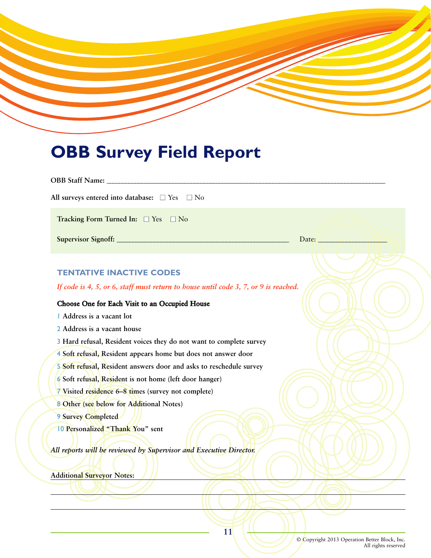# **OBB Survey Field Report**

| All surveys entered into database: $\square$ Yes $\square$ No                       |                  |
|-------------------------------------------------------------------------------------|------------------|
| Tracking Form Turned In: □ Yes □ No                                                 |                  |
|                                                                                     | Date: $\sqrt{ }$ |
|                                                                                     |                  |
|                                                                                     |                  |
| <b>TENTATIVE INACTIVE CODES</b>                                                     |                  |
| If code is 4, 5, or 6, staff must return to house until code 3, 7, or 9 is reached. |                  |
| Choose One for Each Visit to an Occupied House                                      |                  |
| Address is a vacant lot                                                             |                  |
| 2 Address is a vacant house                                                         |                  |
| 3 Hard refusal, Resident voices they do not want to complete survey                 |                  |
| 4 Soft refusal, Resident appears home but does not answer door                      |                  |
| 5 Soft refusal, Resident answers door and asks to reschedule survey                 |                  |
| 6 Soft refusal, Resident is not home (left door hanger)                             |                  |
| 7 Visited residence 6-8 times (survey not complete)                                 |                  |
| 8 Other (see below for Additional Notes)                                            |                  |
| 9 Survey Completed                                                                  |                  |
| 10 Personalized "Thank You" sent                                                    |                  |
|                                                                                     |                  |
| All reports will be reviewed by Supervisor and Executive Director.                  |                  |
| <b>Additional Surveyor Notes:</b>                                                   |                  |
|                                                                                     |                  |
|                                                                                     |                  |

© Copyright 2013 Operation Better Block, Inc. All rights reserved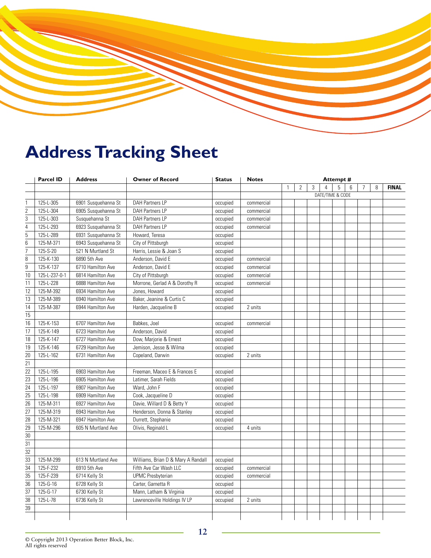# **Address Tracking Sheet**

| <b>Parcel ID</b> |                         | <b>Address</b>      | <b>Owner of Record</b>             | <b>Status</b> | <b>Notes</b> | Attempt #    |              |   |                |                  |   |                 |   |              |
|------------------|-------------------------|---------------------|------------------------------------|---------------|--------------|--------------|--------------|---|----------------|------------------|---|-----------------|---|--------------|
|                  |                         |                     |                                    |               |              | $\mathbf{1}$ | $\mathbf{2}$ | 3 | $\overline{4}$ | 5                | 6 | $7\overline{ }$ | 8 | <b>FINAL</b> |
|                  |                         |                     |                                    |               |              |              |              |   |                | DATE/TIME & CODE |   |                 |   |              |
|                  | 125-L-305               | 6901 Susquehanna St | <b>DAH Partners LP</b>             | occupied      | commercial   |              |              |   |                |                  |   |                 |   |              |
| $\overline{c}$   | $\overline{125}$ -L-304 | 6905 Susquehanna St | <b>DAH Partners LP</b>             | occupied      | commercial   |              |              |   |                |                  |   |                 |   |              |
| $\overline{3}$   | 125-L-303               | Susquehanna St      | <b>DAH Partners LP</b>             | occupied      | commercial   |              |              |   |                |                  |   |                 |   |              |
| $\overline{4}$   | 125-L-293               | 6923 Susquehanna St | <b>DAH Partners LP</b>             | occupied      | commercial   |              |              |   |                |                  |   |                 |   |              |
| $\overline{5}$   | 125-L-289               | 6931 Susquehanna St | Howard, Teresa                     | occupied      |              |              |              |   |                |                  |   |                 |   |              |
| 6                | 125-M-371               | 6943 Susquehanna St | City of Pittsburgh                 | occupied      |              |              |              |   |                |                  |   |                 |   |              |
| $\overline{7}$   | 125-S-20                | 521 N Murtland St   | Harris, Lessie & Joan S            | occupied      |              |              |              |   |                |                  |   |                 |   |              |
| 8                | 125-K-130               | 6890 5th Ave        | Anderson, David E                  | occupied      | commercial   |              |              |   |                |                  |   |                 |   |              |
| $\mathsf g$      | 125-K-137               | 6710 Hamilton Ave   | Anderson, David E                  | occupied      | commercial   |              |              |   |                |                  |   |                 |   |              |
| 10               | 125-L-237-0-1           | 6814 Hamilton Ave   | City of Pittsburgh                 | occupied      | commercial   |              |              |   |                |                  |   |                 |   |              |
| 11               | 125-L-228               | 6888 Hamilton Ave   | Morrone, Gerlad A & Dorothy R      | occupied      | commercial   |              |              |   |                |                  |   |                 |   |              |
| 12               | 125-M-392               | 6934 Hamilton Ave   | Jones, Howard                      | occupied      |              |              |              |   |                |                  |   |                 |   |              |
| $\overline{13}$  | 125-M-389               | 6940 Hamilton Ave   | Baker, Jeanine & Curtis C          | occupied      |              |              |              |   |                |                  |   |                 |   |              |
| 14               | 125-M-387               | 6944 Hamilton Ave   | Harden, Jacqueline B               | occupied      | 2 units      |              |              |   |                |                  |   |                 |   |              |
| $\overline{15}$  |                         |                     |                                    |               |              |              |              |   |                |                  |   |                 |   |              |
| 16               | 125-K-153               | 6707 Hamilton Ave   | Babkes, Joel                       | occupied      | commercial   |              |              |   |                |                  |   |                 |   |              |
| $\overline{17}$  | 125-K-149               | 6723 Hamilton Ave   | Anderson, David                    | occupied      |              |              |              |   |                |                  |   |                 |   |              |
| 18               | 125-K-147               | 6727 Hamilton Ave   | Dow, Marjorie & Ernest             | occupied      |              |              |              |   |                |                  |   |                 |   |              |
| 19               | 125-K-146               | 6729 Hamilton Ave   | Jemison, Jesse & Wilma             | occupied      |              |              |              |   |                |                  |   |                 |   |              |
| 20               | 125-L-162               | 6731 Hamilton Ave   | Copeland, Darwin                   | occupied      | 2 units      |              |              |   |                |                  |   |                 |   |              |
| $\overline{21}$  |                         |                     |                                    |               |              |              |              |   |                |                  |   |                 |   |              |
| 22               | 125-L-195               | 6903 Hamilton Ave   | Freeman, Maceo E & Frances E       | occupied      |              |              |              |   |                |                  |   |                 |   |              |
| $\overline{23}$  | 125-L-196               | 6905 Hamilton Ave   | Latimer, Sarah Fields              | occupied      |              |              |              |   |                |                  |   |                 |   |              |
| $\overline{24}$  | 125-L-197               | 6907 Hamilton Ave   | Ward, John F                       | occupied      |              |              |              |   |                |                  |   |                 |   |              |
| $\overline{25}$  | 125-L-198               | 6909 Hamilton Ave   | Cook, Jacqueline D                 | occupied      |              |              |              |   |                |                  |   |                 |   |              |
| $\overline{26}$  | 125-M-311               | 6927 Hamilton Ave   | Davie, Willard D & Betty Y         | occupied      |              |              |              |   |                |                  |   |                 |   |              |
| 27               | 125-M-319               | 6943 Hamilton Ave   | Henderson, Donna & Stanley         | occupied      |              |              |              |   |                |                  |   |                 |   |              |
| $\overline{28}$  | 125-M-321               | 6947 Hamilton Ave   | Durrett, Stephanie                 | occupied      |              |              |              |   |                |                  |   |                 |   |              |
| 29               | 125-M-296               | 605 N Murtland Ave  | Olivis, Reginald L                 | occupied      | 4 units      |              |              |   |                |                  |   |                 |   |              |
| $\overline{30}$  |                         |                     |                                    |               |              |              |              |   |                |                  |   |                 |   |              |
| $\overline{31}$  |                         |                     |                                    |               |              |              |              |   |                |                  |   |                 |   |              |
| $\overline{32}$  |                         |                     |                                    |               |              |              |              |   |                |                  |   |                 |   |              |
| $\overline{33}$  | 125-M-299               | 613 N Murtland Ave  | Williams, Brian D & Mary A Randall | occupied      |              |              |              |   |                |                  |   |                 |   |              |
| $\overline{34}$  | 125-F-232               | 6910 5th Ave        | Fifth Ave Car Wash LLC             | occupied      | commercial   |              |              |   |                |                  |   |                 |   |              |
| 35               | 125-F-239               | 6714 Kelly St       | <b>UPMC</b> Presbyterian           | occupied      | commercial   |              |              |   |                |                  |   |                 |   |              |
| $\overline{36}$  | 125-G-16                | 6728 Kelly St       | Carter, Garnetta R                 | occupied      |              |              |              |   |                |                  |   |                 |   |              |
| 37               | $125 - G - 17$          | 6730 Kelly St       | Mann, Latham & Virginia            | occupied      |              |              |              |   |                |                  |   |                 |   |              |
| $\overline{38}$  | 125-L-78                | 6736 Kelly St       | Lawrenceville Holdings IV LP       | occupied      | 2 units      |              |              |   |                |                  |   |                 |   |              |
| $\overline{39}$  |                         |                     |                                    |               |              |              |              |   |                |                  |   |                 |   |              |
|                  |                         |                     |                                    |               |              |              |              |   |                |                  |   |                 |   |              |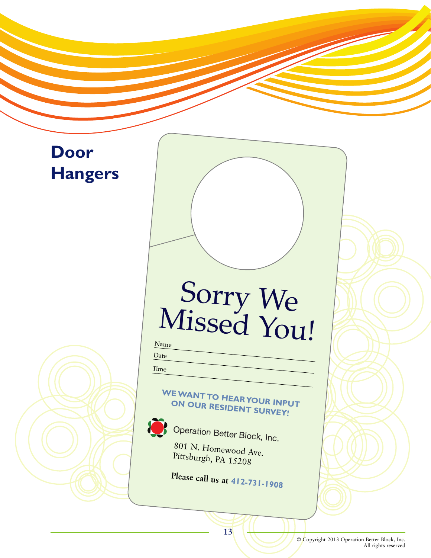# **Door Hangers**

# Sorry We Missed You!

Name

Date

Time

# **WE WANT TO HEAR YOUR INPUT ON OUR RESIDENT SURVEY!**



Operation Better Block, Inc.

801 N. Homewood Ave. Pittsburgh, PA 15208

**Please call us at 412-731-1908**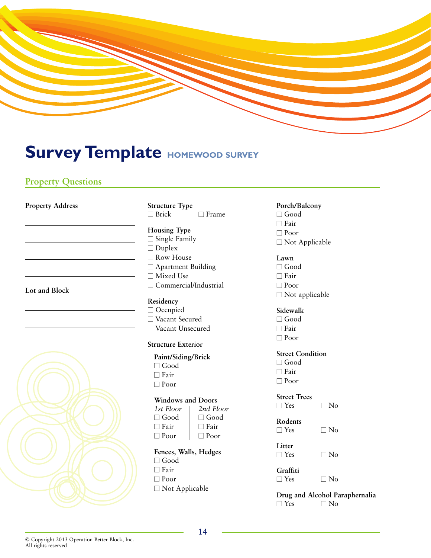

# **Survey Template HOMEWOOD SURVEY**

# **Property Questions**

**Property Address**

|  |  | ,我们也不会有一个人的事情。""我们的人,我们也不会有一个人的人,我们也不会有一个人的人,我们也不会有一个人的人,我们也不会有一个人的人,我们也不会有一个人的人, |
|--|--|-----------------------------------------------------------------------------------|
|  |  |                                                                                   |

**Lot and Block**



**Structure Type**  $\Box$  Brick  $\Box$  Frame

- **Housing Type**  $\Box$  Single Family □ Duplex □ Row House □ Apartment Building  $\Box$  Mixed Use □ Commercial/Industrial
- **Residency** □ Occupied □ Vacant Secured □ Vacant Unsecured

## **Structure Exterior**

**Paint/Siding/Brick** ■ Good  $\Box$  Fair ■ Poor

# **Windows and Doors**

| 1st Floor   | 2nd Floor   |
|-------------|-------------|
| $\Box$ Good | $\Box$ Good |
| l I Fair    | □ Fair      |
| l Poor      | $\Box$ Poor |

**Fences, Walls, Hedges** ■ Good  $\Box$  Fair

- Poor
- □ Not Applicable

**Porch/Balcony** ■ Good  $\Box$  Fair ■ Poor  $\square$  Not Applicable

## **Lawn**

- $\Box$  Good  $\Box$  Fair ■ Poor  $\square$  Not applicable
- **Sidewalk** ■ Good
- Fair ■ Poor

# **Street Condition**

- $\Box$  Good ■ Fair
- Poor

#### **Street Trees**  $\Box$  Yes  $\Box$  No

- **Rodents**
- $\Box$  Yes  $\Box$  No
- **Litter**  $\Box$  Yes  $\Box$  No
- **Graffiti**
- $\Box$  Yes  $\Box$  No

## **Drug and Alcohol Paraphernalia**  $\Box$  Yes  $\Box$  No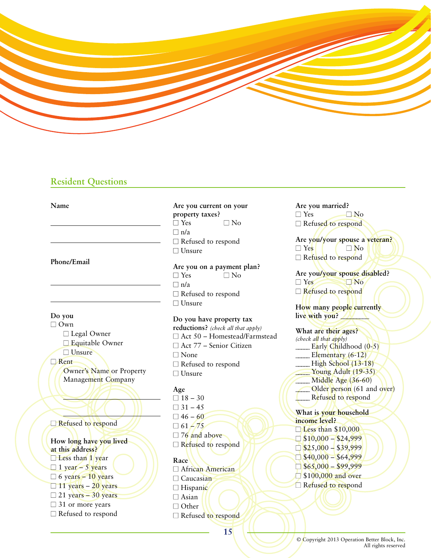

# **Resident Questions**

**Name**

**Phone/Email**

**Do you**

- □ Own
	- □ Legal Owner □ Equitable Owner ■ Unsure

■ Rent

Owner's Name or Property Management Company

□ Refused to respond

**How long have you lived at this address?**  $\Box$  Less than 1 year  $\Box$  1 year – 5 years  $\Box$  6 years – 10 years  $\Box$  11 years – 20 years  $\Box$  21 years – 30 years  $\Box$  31 or more years  $\Box$  Refused to respond

**Are you current on your property taxes?**  $\Box$  Yes  $\Box$  No  $\Box$  n/a  $\Box$  Refused to respond ■ Unsure

**Are you on a payment plan?**   $\Box$  Yes  $\Box$  No  $\Box$  n/a  $\Box$  Refused to respond □ Unsure

**Do you have property tax reductions?** *(check all that apply)*  $\square$  Act 50 – Homestead/Farmstead □ Act 77 – Senior Citizen □ None  $\Box$  Refused to respond

**Age**  $\Box$  18 – 30  $\Box$  31 – 45  $\Box$  46 – 60  $\Box$  61 – 75  $\Box$  76 and above  $\Box$  Refused to respond

■ Unsure

**Race** □ African American  $\Box$  Caucasian □ Hispanic  $\Box$  Asian  $\Box$  Other □ Refused to respond

**Are you married?**  $\Box$  Yes  $\Box$  No □ Refused to respond

**Are you/your spouse a veteran?**  $\Box$  Yes  $\Box$  No  $\Box$  Refused to respond

**Are you/your spouse disabled?**  $\Box$  Yes  $\Box$  No. □ Refused to respond

**How many people currently**  live with you?

**What are their ages?** *(check all that apply)* Early Childhood  $(0-5)$ Elementary (6-12)  $\qquad$  High School (13-18) Young Adult (19-35) Middle Age (36-60) Older person (61 and over) Refused to respond **What is your household income level?** □ Less than \$10,000

- $\Box$  \$10,000 \$24,999  $\Box$  \$25,000 – \$39,999  $\Box$  \$40,000 – \$64,999  $\Box$  \$65,000 – \$99,999 □ \$100,000 and over
- $\Box$  Refused to respond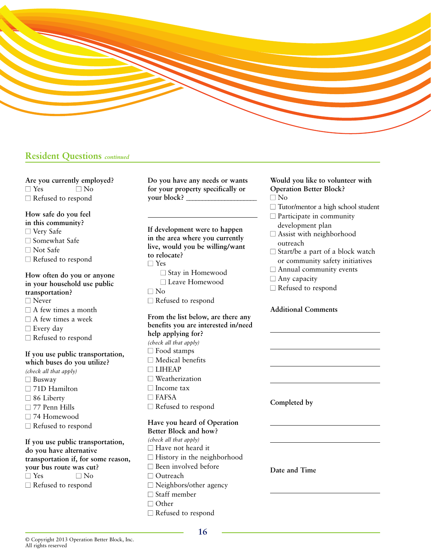

## **Resident Questions** *continued*

**Are you currently employed?**  $\Box$  Yes  $\Box$  No  $\Box$  Refused to respond

**How safe do you feel in this community?** □ Very Safe  $\Box$  Somewhat Safe ■ Not Safe  $\Box$  Refused to respond

**How often do you or anyone in your household use public transportation?** □ Never  $\Box$  A few times a month  $\Box$  A few times a week □ Every day  $\Box$  Refused to respond

**If you use public transportation, which buses do you utilize?**  *(check all that apply)* □ Busway □ 71D Hamilton □ 86 Liberty  $\square$  77 Penn Hills □ 74 Homewood  $\square$  Refused to respond

**If you use public transportation, do you have alternative transportation if, for some reason, your bus route was cut?**  $\Box$  Yes  $\Box$  No  $\Box$  Refused to respond

**Do you have any needs or wants for your property specifically or your block?** \_\_\_\_\_\_\_\_\_\_\_\_\_\_\_\_\_\_\_\_\_\_

**If development were to happen in the area where you currently live, would you be willing/want to relocate?** ■ Yes  $\square$  Stay in Homewood ■ Leave Homewood  $\Box$  No

 $\Box$  Refused to respond

**From the list below, are there any benefits you are interested in/need help applying for?**  *(check all that apply)* □ Food stamps  $\square$  Medical benefits ■ LIHEAP  $\square$  Weatherization □ Income tax  $\Box$  FAFSA □ Refused to respond

#### **Have you heard of Operation Better Block and how?**

*(check all that apply)*  $\Box$  Have not heard it  $\Box$  History in the neighborhood  $\square$  Been involved before □ Outreach  $\Box$  Neighbors/other agency  $\Box$  Staff member □ Other  $\Box$  Refused to respond

**Would you like to volunteer with Operation Better Block?** ■ No

 $\Box$  Tutor/mentor a high school student

 $\Box$  Participate in community

- development plan  $\square$  Assist with neighborhood outreach
- $\square$  Start/be a part of a block watch or community safety initiatives
- $\Box$  Annual community events
- $\Box$  Any capacity
- $\Box$  Refused to respond

#### **Additional Comments**

**Completed by**

**Date and Time**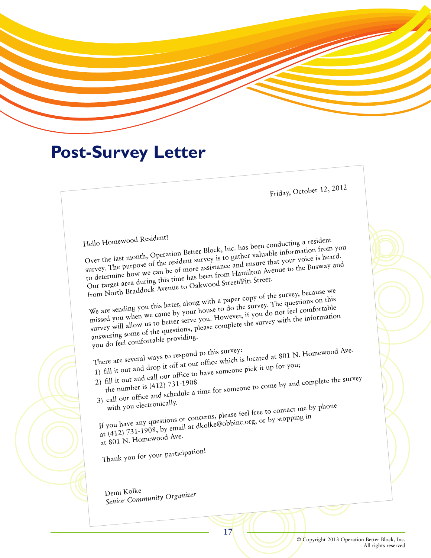# **Post-Survey Letter**

Friday, October 12, 2012

Hello Homewood Resident!

Over the last month, Operation Better Block, Inc. has been conducting a resident survey. The purpose of the resident survey is to gather valuable information from you to determine how we can be of more assistance and ensure that your voice is heard. Our target area during this time has been from Hamilton Avenue to the Busway an<sup>d</sup> from North Braddock Avenue to Oakwood Street/Pitt Street.

We are sending you this letter, along with a paper copy of the survey, because we missed you when we came by your house to do the survey. The questions on this survey will allow us to better serve you. However, if you do not feel comfortable answering some of the questions, please complete the survey with the information

you do feel comfortable providing.<br>There are several ways to respond to this survey: There are several ways to respond to this survey:<br>
There are several ways to respond to this survey:<br>
1) fill it out and drop it off at our office which is located at 801 N. Homewood Ave.

- 
- 2) fill it out and call our office to have someone pick it up for you; 2) fill it out and call our office and schedule a time for someone to come by and complete the survey<br>3) call our office and schedule a time for someone to come by and complete the survey
- 

with you electronically.<br>If you have any questions or concerns, please feel free to contact me by phone<br>If you have any questions or concerns, please feel free to contact me by phone

at (412) 731-1908, by email at dkolke@obbinc.org, or by stopping in at 801 N. Homewood Ave.

Thank you for your participation!

Demi Kolke *Senior Community Organizer*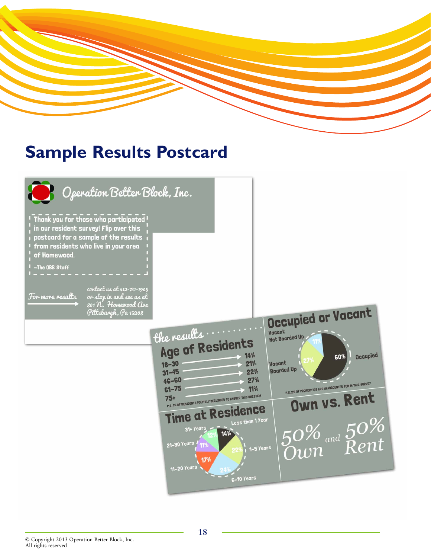

# **Sample Results Postcard**

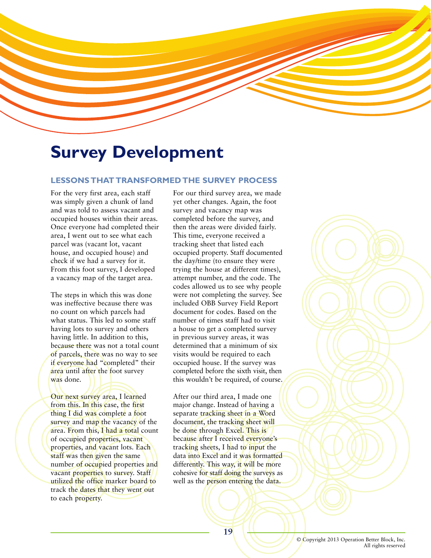

# **Survey Development**

## **LESSONS THAT TRANSFORMED THE SURVEY PROCESS**

For the very first area, each staff was simply given a chunk of land and was told to assess vacant and occupied houses within their areas. Once everyone had completed their area, I went out to see what each parcel was (vacant lot, vacant house, and occupied house) and check if we had a survey for it. From this foot survey, I developed a vacancy map of the target area.

The steps in which this was done was ineffective because there was no count on which parcels had what status. This led to some staff having lots to survey and others having little. In addition to this, because there was not a total count of parcels, there was no way to see if everyone had "completed" their area until after the foot survey was done.

Our next survey area, I learned from this. In this case, the first thing I did was complete a foot survey and map the vacancy of the area. From this, I had a total count of occupied properties, vacant properties, and vacant lots. Each staff was then given the same number of occupied properties and vacant properties to survey. Staff utilized the office marker board to track the dates that they went out to each property.

For our third survey area, we made yet other changes. Again, the foot survey and vacancy map was completed before the survey, and then the areas were divided fairly. This time, everyone received a tracking sheet that listed each occupied property. Staff documented the day/time (to ensure they were trying the house at different times), attempt number, and the code. The codes allowed us to see why people were not completing the survey. See included OBB Survey Field Report document for codes. Based on the number of times staff had to visit a house to get a completed survey in previous survey areas, it was determined that a minimum of six visits would be required to each occupied house. If the survey was completed before the sixth visit, then this wouldn't be required, of course.

After our third area, I made one major change. Instead of having a separate tracking sheet in a Word document, the tracking sheet will be done through Excel. This is because after I received everyone's tracking sheets, I had to input the data into Excel and it was formatted differently. This way, it will be more cohesive for staff doing the surveys as well as the person entering the data.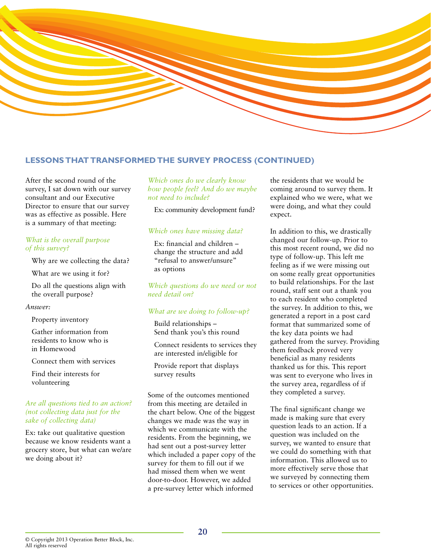

## **LESSONS THAT TRANSFORMED THE SURVEY PROCESS (CONTINUED)**

After the second round of the survey, I sat down with our survey consultant and our Executive Director to ensure that our survey was as effective as possible. Here is a summary of that meeting:

#### *What is the overall purpose of this survey?*

Why are we collecting the data?

What are we using it for?

Do all the questions align with the overall purpose?

#### *Answer:*

Property inventory

Gather information from residents to know who is in Homewood

Connect them with services

Find their interests for volunteering

#### *Are all questions tied to an action? (not collecting data just for the sake of collecting data)*

Ex: take out qualitative question because we know residents want a grocery store, but what can we/are we doing about it?

## *Which ones do we clearly know how people feel? And do we maybe not need to include?*

Ex: community development fund?

#### *Which ones have missing data?*

Ex: financial and children – change the structure and add "refusal to answer/unsure" as options

*Which questions do we need or not need detail on?* 

#### *What are we doing to follow-up?*

Build relationships – Send thank you's this round

Connect residents to services they are interested in/eligible for

Provide report that displays survey results

Some of the outcomes mentioned from this meeting are detailed in the chart below. One of the biggest changes we made was the way in which we communicate with the residents. From the beginning, we had sent out a post-survey letter which included a paper copy of the survey for them to fill out if we had missed them when we went door-to-door. However, we added a pre-survey letter which informed

the residents that we would be coming around to survey them. It explained who we were, what we were doing, and what they could expect.

In addition to this, we drastically changed our follow-up. Prior to this most recent round, we did no type of follow-up. This left me feeling as if we were missing out on some really great opportunities to build relationships. For the last round, staff sent out a thank you to each resident who completed the survey. In addition to this, we generated a report in a post card format that summarized some of the key data points we had gathered from the survey. Providing them feedback proved very beneficial as many residents thanked us for this. This report was sent to everyone who lives in the survey area, regardless of if they completed a survey.

The final significant change we made is making sure that every question leads to an action. If a question was included on the survey, we wanted to ensure that we could do something with that information. This allowed us to more effectively serve those that we surveyed by connecting them to services or other opportunities.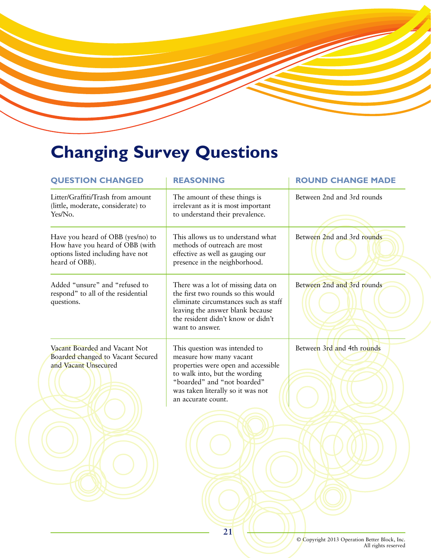# **Changing Survey Questions**

| <b>QUESTION CHANGED</b>                                                                                                     | <b>REASONING</b>                                                                                                                                                                                                           | <b>ROUND CHANGE MADE</b>   |
|-----------------------------------------------------------------------------------------------------------------------------|----------------------------------------------------------------------------------------------------------------------------------------------------------------------------------------------------------------------------|----------------------------|
| Litter/Graffiti/Trash from amount<br>(little, moderate, considerate) to<br>Yes/No.                                          | The amount of these things is<br>irrelevant as it is most important<br>to understand their prevalence.                                                                                                                     | Between 2nd and 3rd rounds |
| Have you heard of OBB (yes/no) to<br>How have you heard of OBB (with<br>options listed including have not<br>heard of OBB). | This allows us to understand what<br>methods of outreach are most<br>effective as well as gauging our<br>presence in the neighborhood.                                                                                     | Between 2nd and 3rd rounds |
| Added "unsure" and "refused to<br>respond" to all of the residential<br>questions.                                          | There was a lot of missing data on<br>the first two rounds so this would<br>eliminate circumstances such as staff<br>leaving the answer blank because<br>the resident didn't know or didn't<br>want to answer.             | Between 2nd and 3rd rounds |
| Vacant Boarded and Vacant Not<br>Boarded changed to Vacant Secured<br>and Vacant Unsecured                                  | This question was intended to<br>measure how many vacant<br>properties were open and accessible<br>to walk into, but the wording<br>"boarded" and "not boarded"<br>was taken literally so it was not<br>an accurate count. | Between 3rd and 4th rounds |
|                                                                                                                             |                                                                                                                                                                                                                            |                            |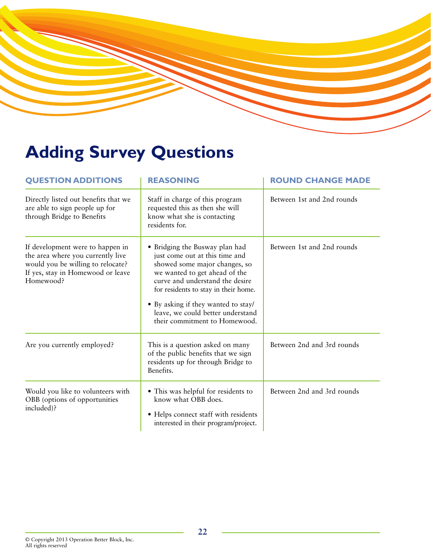# **Adding Survey Questions**

| <b>QUESTION ADDITIONS</b>                                                                                                                                    | <b>REASONING</b>                                                                                                                                                                                                                                                                                                           | <b>ROUND CHANGE MADE</b>   |  |  |  |
|--------------------------------------------------------------------------------------------------------------------------------------------------------------|----------------------------------------------------------------------------------------------------------------------------------------------------------------------------------------------------------------------------------------------------------------------------------------------------------------------------|----------------------------|--|--|--|
| Directly listed out benefits that we<br>are able to sign people up for<br>through Bridge to Benefits                                                         | Staff in charge of this program<br>requested this as then she will<br>know what she is contacting<br>residents for.                                                                                                                                                                                                        | Between 1st and 2nd rounds |  |  |  |
| If development were to happen in<br>the area where you currently live<br>would you be willing to relocate?<br>If yes, stay in Homewood or leave<br>Homewood? | • Bridging the Busway plan had<br>just come out at this time and<br>showed some major changes, so<br>we wanted to get ahead of the<br>curve and understand the desire<br>for residents to stay in their home.<br>• By asking if they wanted to stay/<br>leave, we could better understand<br>their commitment to Homewood. | Between 1st and 2nd rounds |  |  |  |
| Are you currently employed?                                                                                                                                  | This is a question asked on many<br>of the public benefits that we sign<br>residents up for through Bridge to<br>Benefits.                                                                                                                                                                                                 | Between 2nd and 3rd rounds |  |  |  |
| Would you like to volunteers with<br>OBB (options of opportunities<br>included)?                                                                             | • This was helpful for residents to<br>know what OBB does.<br>• Helps connect staff with residents<br>interested in their program/project.                                                                                                                                                                                 | Between 2nd and 3rd rounds |  |  |  |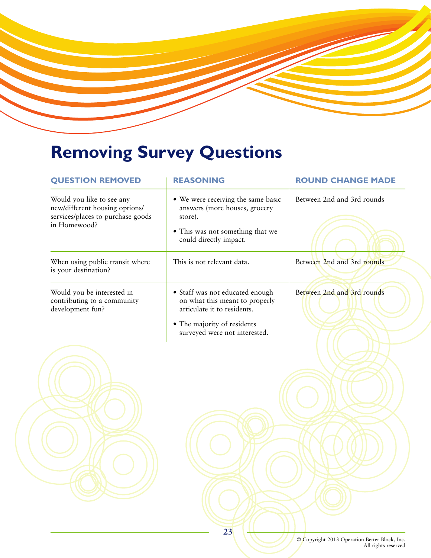# **Removing Survey Questions**

| <b>QUESTION REMOVED</b>                                                                                          | <b>REASONING</b>                                                                                                                             | <b>ROUND CHANGE MADE</b>   |
|------------------------------------------------------------------------------------------------------------------|----------------------------------------------------------------------------------------------------------------------------------------------|----------------------------|
| Would you like to see any<br>new/different housing options/<br>services/places to purchase goods<br>in Homewood? | • We were receiving the same basic<br>answers (more houses, grocery<br>store).<br>• This was not something that we<br>could directly impact. | Between 2nd and 3rd rounds |
| When using public transit where<br>is your destination?                                                          | This is not relevant data.                                                                                                                   | Between 2nd and 3rd rounds |
| Would you be interested in<br>contributing to a community<br>development fun?                                    | · Staff was not educated enough<br>on what this meant to properly<br>articulate it to residents.                                             | Between 2nd and 3rd rounds |
|                                                                                                                  | • The majority of residents<br>surveyed were not interested.                                                                                 |                            |
|                                                                                                                  |                                                                                                                                              |                            |
|                                                                                                                  |                                                                                                                                              |                            |
|                                                                                                                  |                                                                                                                                              |                            |
|                                                                                                                  |                                                                                                                                              |                            |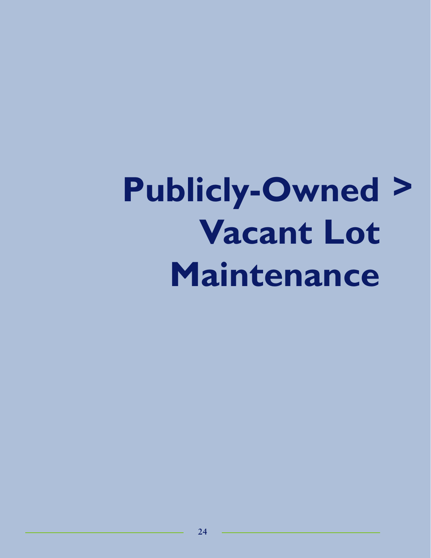# **Publicly-Owned Vacant Lot Maintenance >**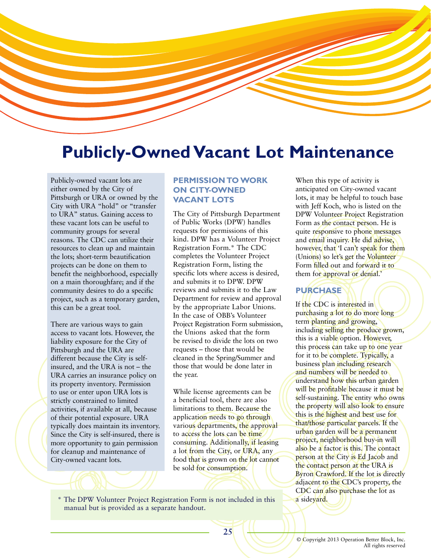# **Publicly-Owned Vacant Lot Maintenance**

Publicly-owned vacant lots are either owned by the City of Pittsburgh or URA or owned by the City with URA "hold" or "transfer to URA" status. Gaining access to these vacant lots can be useful to community groups for several reasons. The CDC can utilize their resources to clean up and maintain the lots; short-term beautification projects can be done on them to benefit the neighborhood, especially on a main thoroughfare; and if the community desires to do a specific project, such as a temporary garden, this can be a great tool.

There are various ways to gain access to vacant lots. However, the liability exposure for the City of Pittsburgh and the URA are different because the City is selfinsured, and the URA is not – the URA carries an insurance policy on its property inventory. Permission to use or enter upon URA lots is strictly constrained to limited activities, if available at all, because of their potential exposure. URA typically does maintain its inventory. Since the City is self-insured, there is more opportunity to gain permission for cleanup and maintenance of City-owned vacant lots.

# **PERMISSION TO WORK ON CITY-OWNED VACANT LOTS**

The City of Pittsburgh Department of Public Works (DPW) handles requests for permissions of this kind. DPW has a Volunteer Project Registration Form.\* The CDC completes the Volunteer Project Registration Form, listing the specific lots where access is desired, and submits it to DPW. DPW reviews and submits it to the Law Department for review and approval by the appropriate Labor Unions. In the case of OBB's Volunteer Project Registration Form submission, the Unions asked that the form be revised to divide the lots on two requests – those that would be cleaned in the Spring/Summer and those that would be done later in the year.

While license agreements can be a beneficial tool, there are also limitations to them. Because the application needs to go through various departments, the approval to access the lots can be time consuming. Additionally, if leasing a lot from the City, or URA, any food that is grown on the lot cannot be sold for consumption.

\* The DPW Volunteer Project Registration Form is not included in this manual but is provided as a separate handout.

When this type of activity is anticipated on City-owned vacant lots, it may be helpful to touch base with Jeff Koch, who is listed on the DPW Volunteer Project Registration Form as the contact person. He is quite responsive to phone messages and email inquiry. He did advise, however, that 'I can't speak for them (Unions) so let's get the Volunteer Form filled out and forward it to them for approval or denial.'

# **PURCHASE**

If the CDC is interested in purchasing a lot to do more long term planting and growing, including selling the produce grown, this is a viable option. However, this process can take up to one year for it to be complete. Typically, a business plan including research and numbers will be needed to understand how this urban garden will be profitable because it must be self-sustaining. The entity who owns the property will also look to ensure this is the highest and best use for that/those particular parcels. If the urban garden will be a permanent project, neighborhood buy-in will also be a factor is this. The contact person at the City is Ed Jacob and the contact person at the URA is Byron Crawford. If the lot is directly adjacent to the CDC's property, the CDC can also purchase the lot as a sideyard.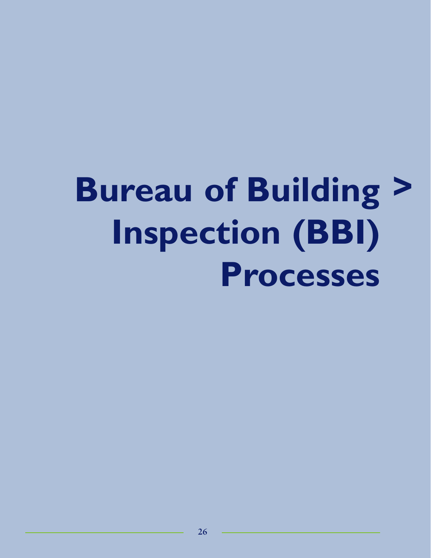# **Bureau of Building >Inspection (BBI) Processes**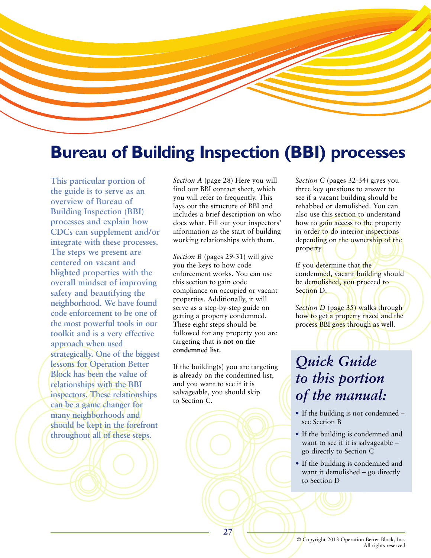

# **Bureau of Building Inspection (BBI) processes**

**This particular portion of the guide is to serve as an overview of Bureau of Building Inspection (BBI) processes and explain how CDCs can supplement and/or integrate with these processes. The steps we present are centered on vacant and blighted properties with the overall mindset of improving safety and beautifying the neighborhood. We have found code enforcement to be one of the most powerful tools in our toolkit and is a very effective approach when used strategically. One of the biggest lessons for Operation Better Block has been the value of relationships with the BBI inspectors. These relationships can be a game changer for many neighborhoods and should be kept in the forefront throughout all of these steps.** 

*Section A* (page 28) Here you will find our BBI contact sheet, which you will refer to frequently. This lays out the structure of BBI and includes a brief description on who does what. Fill out your inspectors' information as the start of building working relationships with them.

*Section B* (pages 29-31) will give you the keys to how code enforcement works. You can use this section to gain code compliance on occupied or vacant properties. Additionally, it will serve as a step-by-step guide on getting a property condemned. These eight steps should be followed for any property you are targeting that is **not on the condemned list.**

If the building(s) you are targeting **is** already on the condemned list, and you want to see if it is salvageable, you should skip to Section C.

*Section C* (pages 32-34) gives you three key questions to answer to see if a vacant building should be rehabbed or demolished. You can also use this section to understand how to gain access to the property in order to do interior inspections depending on the ownership of the property.

If you determine that the condemned, vacant building should be demolished, you proceed to Section D.

*Section D* (page 35) walks through how to get a property razed and the process BBI goes through as well.

# *Quick Guide to this portion of the manual:*

- If the building is not condemned see Section B
- If the building is condemned and want to see if it is salvageable – go directly to Section C
- If the building is condemned and want it demolished – go directly to Section D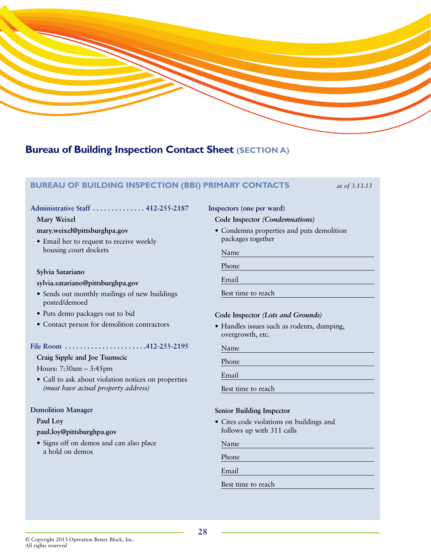

# **Bureau of Building Inspection Contact Sheet (SECTION A)**

# **BUREAU OF BUILDING INSPECTION (BBI) PRIMARY CONTACTS** *as of 3.13.13*

#### **Administrative Staff . . . . . . . . . . . . . . 412-255-2187**

#### **Mary Weixel**

#### **mary.weixel@pittsburghpa.gov**

• Email her to request to receive weekly housing court dockets

#### **Sylvia Satariano**

#### **sylvia.satariano@pittsburghpa.gov**

- Sends out monthly mailings of new buildings posted/demoed
- Puts demo packages out to bid
- Contact person for demolition contractors

#### **File Room . . . . . . . . . . . . . . . . . . . . . .412-255-2195**

### **Craig Sipple and Joe Tsumscic**

Hours: 7:30am – 3:45pm

• Call to ask about violation notices on properties *(must have actual property address)*

#### **Demolition Manager**

#### **Paul Loy**

#### **paul.loy@pittsburghpa.gov**

• Signs off on demos and can also place a hold on demos

# **Inspectors (one per ward)**

#### **Code Inspector** *(Condemnations)*

• Condemns properties and puts demolition packages together

Name

Phone

Email

Best time to reach

#### **Code Inspector** *(Lots and Grounds)*

• Handles issues such as rodents, dumping, overgrowth, etc.

Name

Phone

Email

Best time to reach

### **Senior Building Inspector**

• Cites code violations on buildings and follows up with 311 calls

Name

Phone

Email

Best time to reach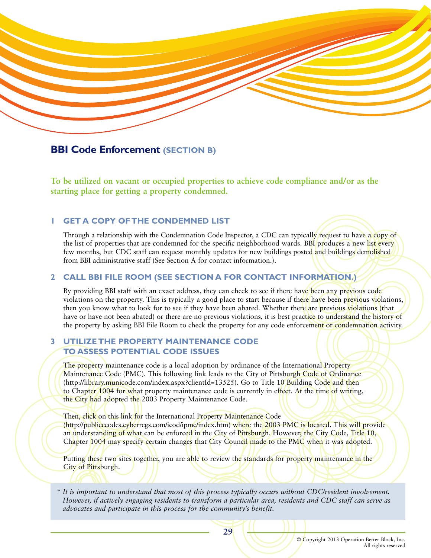

# **BBI Code Enforcement (SECTION B)**

**To be utilized on vacant or occupied properties to achieve code compliance and/or as the starting place for getting a property condemned.** 

## **1 GET A COPY OF THE CONDEMNED LIST**

Through a relationship with the Condemnation Code Inspector, a CDC can typically request to have a copy of the list of properties that are condemned for the specific neighborhood wards. BBI produces a new list every few months, but CDC staff can request monthly updates for new buildings posted and buildings demolished from BBI administrative staff (See Section A for contact information.).

## **2 CALL BBI FILE ROOM (SEE SECTION A FOR CONTACT INFORMATION.)**

By providing BBI staff with an exact address, they can check to see if there have been any previous code violations on the property. This is typically a good place to start because if there have been previous violations, then you know what to look for to see if they have been abated. Whether there are previous violations (that have or have not been abated) or there are no previous violations, it is best practice to understand the history of the property by asking BBI File Room to check the property for any code enforcement or condemnation activity.

## **3 UTILIZE THE PROPERTY MAINTENANCE CODE TO ASSESS POTENTIAL CODE ISSUES**

The property maintenance code is a local adoption by ordinance of the International Property Maintenance Code (PMC). This following link leads to the City of Pittsburgh Code of Ordinance (http://library.municode.com/index.aspx?clientId=13525). Go to Title 10 Building Code and then to Chapter 1004 for what property maintenance code is currently in effect. At the time of writing, the City had adopted the 2003 Property Maintenance Code.

Then, click on this link for the International Property Maintenance Code (http://publicecodes.cyberregs.com/icod/ipmc/index.htm) where the 2003 PMC is located. This will provide an understanding of what can be enforced in the City of Pittsburgh. However, the City Code, Title 10, Chapter 1004 may specify certain changes that City Council made to the PMC when it was adopted.

Putting these two sites together, you are able to review the standards for property maintenance in the City of Pittsburgh.

*\* It is important to understand that most of this process typically occurs without CDC/resident involvement. However, if actively engaging residents to transform a particular area, residents and CDC staff can serve as advocates and participate in this process for the community's benefit.*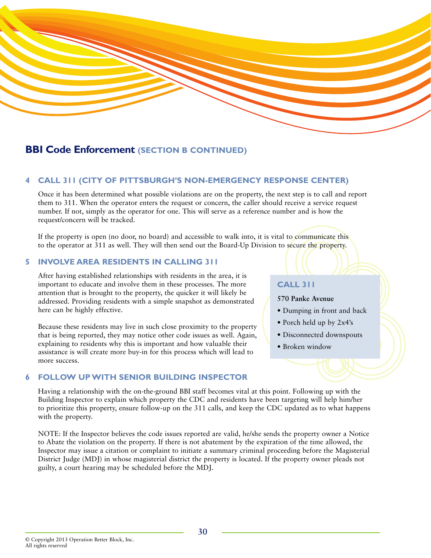

# **BBI Code Enforcement (SECTION B CONTINUED)**

## **4 CALL 311 (CITY OF PITTSBURGH'S NON-EMERGENCY RESPONSE CENTER)**

Once it has been determined what possible violations are on the property, the next step is to call and report them to 311. When the operator enters the request or concern, the caller should receive a service request number. If not, simply as the operator for one. This will serve as a reference number and is how the request/concern will be tracked.

If the property is open (no door, no board) and accessible to walk into, it is vital to communicate this to the operator at 311 as well. They will then send out the Board-Up Division to secure the property.

## **5 INVOLVE AREA RESIDENTS IN CALLING 311**

After having established relationships with residents in the area, it is important to educate and involve them in these processes. The more attention that is brought to the property, the quicker it will likely be addressed. Providing residents with a simple snapshot as demonstrated here can be highly effective.

Because these residents may live in such close proximity to the property that is being reported, they may notice other code issues as well. Again, explaining to residents why this is important and how valuable their assistance is will create more buy-in for this process which will lead to more success.

## **6 FOLLOW UP WITH SENIOR BUILDING INSPECTOR**

#### **CALL 311**

- **570 Panke Avenue**
- Dumping in front and back
- Porch held up by 2x4's
- Disconnected downspouts
- Broken window

Having a relationship with the on-the-ground BBI staff becomes vital at this point. Following up with the Building Inspector to explain which property the CDC and residents have been targeting will help him/her to prioritize this property, ensure follow-up on the 311 calls, and keep the CDC updated as to what happens with the property.

NOTE: If the Inspector believes the code issues reported are valid, he/she sends the property owner a Notice to Abate the violation on the property. If there is not abatement by the expiration of the time allowed, the Inspector may issue a citation or complaint to initiate a summary criminal proceeding before the Magisterial District Judge (MDJ) in whose magisterial district the property is located. If the property owner pleads not guilty, a court hearing may be scheduled before the MDJ.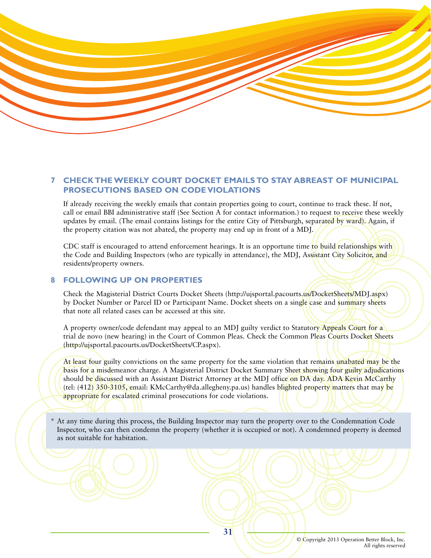

# **7 CHECK THE WEEKLY COURT DOCKET EMAILS TO STAY ABREAST OF MUNICIPAL PROSECUTIONS BASED ON CODE VIOLATIONS**

If already receiving the weekly emails that contain properties going to court, continue to track these. If not, call or email BBI administrative staff (See Section A for contact information.) to request to receive these weekly updates by email. (The email contains listings for the entire City of Pittsburgh, separated by ward). Again, if the property citation was not abated, the property may end up in front of a MDJ.

CDC staff is encouraged to attend enforcement hearings. It is an opportune time to build relationships with the Code and Building Inspectors (who are typically in attendance), the MDJ, Assistant City Solicitor, and residents/property owners.

## **8 FOLLOWING UP ON PROPERTIES**

Check the Magisterial District Courts Docket Sheets (http://ujsportal.pacourts.us/DocketSheets/MDJ.aspx) by Docket Number or Parcel ID or Participant Name. Docket sheets on a single case and summary sheets that note all related cases can be accessed at this site.

A property owner/code defendant may appeal to an MDJ guilty verdict to Statutory Appeals Court for a trial de novo (new hearing) in the Court of Common Pleas. Check the Common Pleas Courts Docket Sheets (http://ujsportal.pacourts.us/DocketSheets/CP.aspx).

At least four guilty convictions on the same property for the same violation that remains unabated may be the basis for a misdemeanor charge. A Magisterial District Docket Summary Sheet showing four guilty adjudications should be discussed with an Assistant District Attorney at the MDJ office on DA day. ADA Kevin McCarthy (tel: (412) 350-3105, email: KMcCarthy@da.allegheny.pa.us) handles blighted property matters that may be appropriate for escalated criminal prosecutions for code violations.

\* At any time during this process, the Building Inspector may turn the property over to the Condemnation Code Inspector, who can then condemn the property (whether it is occupied or not). A condemned property is deemed as not suitable for habitation.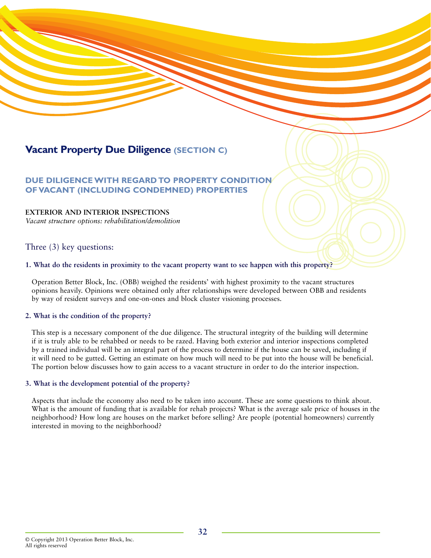# **Vacant Property Due Diligence (SECTION C)**

# **DUE DILIGENCE WITH REGARD TO PROPERTY CONDITION OF VACANT (INCLUDING CONDEMNED) PROPERTIES**

## **EXTERIOR AND INTERIOR INSPECTIONS**

*Vacant structure options: rehabilitation/demolition*

# Three (3) key questions:

### **1. What do the residents in proximity to the vacant property want to see happen with this property?**

Operation Better Block, Inc. (OBB) weighed the residents' with highest proximity to the vacant structures opinions heavily. Opinions were obtained only after relationships were developed between OBB and residents by way of resident surveys and one-on-ones and block cluster visioning processes.

## **2. What is the condition of the property?**

This step is a necessary component of the due diligence. The structural integrity of the building will determine if it is truly able to be rehabbed or needs to be razed. Having both exterior and interior inspections completed by a trained individual will be an integral part of the process to determine if the house can be saved, including if it will need to be gutted. Getting an estimate on how much will need to be put into the house will be beneficial. The portion below discusses how to gain access to a vacant structure in order to do the interior inspection.

#### **3. What is the development potential of the property?**

Aspects that include the economy also need to be taken into account. These are some questions to think about. What is the amount of funding that is available for rehab projects? What is the average sale price of houses in the neighborhood? How long are houses on the market before selling? Are people (potential homeowners) currently interested in moving to the neighborhood?

<sup>©</sup> Copyright 2013 Operation Better Block, Inc. All rights reserved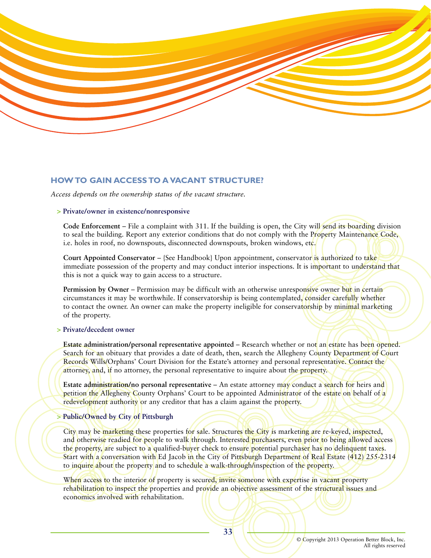

### **HOW TO GAIN ACCESS TO A VACANT STRUCTURE?**

*Access depends on the ownership status of the vacant structure.*

#### **> Private/owner in existence/nonresponsive**

**Code Enforcement** – File a complaint with 311. If the building is open, the City will send its boarding division to seal the building. Report any exterior conditions that do not comply with the Property Maintenance Code, i.e. holes in roof, no downspouts, disconnected downspouts, broken windows, etc.

**Court Appointed Conservator** – {See Handbook} Upon appointment, conservator is authorized to take immediate possession of the property and may conduct interior inspections. It is important to understand that this is not a quick way to gain access to a structure.

**Permission by Owner** – Permission may be difficult with an otherwise unresponsive owner but in certain circumstances it may be worthwhile. If conservatorship is being contemplated, consider carefully whether to contact the owner. An owner can make the property ineligible for conservatorship by minimal marketing of the property.

#### **> Private/decedent owner**

**Estate administration/personal representative appointed** – Research whether or not an estate has been opened. Search for an obituary that provides a date of death, then, search the Allegheny County Department of Court Records Wills/Orphans' Court Division for the Estate's attorney and personal representative. Contact the attorney, and, if no attorney, the personal representative to inquire about the property.

**Estate administration/no personal representative** – An estate attorney may conduct a search for heirs and petition the Allegheny County Orphans' Court to be appointed Administrator of the estate on behalf of a redevelopment authority or any creditor that has a claim against the property.

#### **> Public/Owned by City of Pittsburgh**

City may be marketing these properties for sale. Structures the City is marketing are re-keyed, inspected, and otherwise readied for people to walk through. Interested purchasers, even prior to being allowed access the property, are subject to a qualified-buyer check to ensure potential purchaser has no delinquent taxes. Start with a conversation with Ed Jacob in the City of Pittsburgh Department of Real Estate (412) 255-2314 to inquire about the property and to schedule a walk-through/inspection of the property.

When access to the interior of property is secured, invite someone with expertise in vacant property rehabilitation to inspect the properties and provide an objective assessment of the structural issues and economics involved with rehabilitation.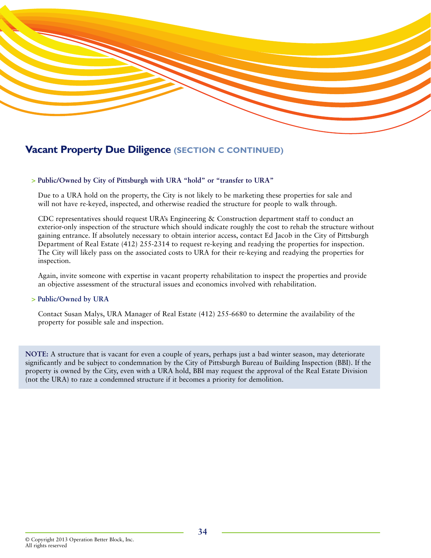

# **Vacant Property Due Diligence (SECTION C CONTINUED)**

#### **> Public/Owned by City of Pittsburgh with URA "hold" or "transfer to URA"**

Due to a URA hold on the property, the City is not likely to be marketing these properties for sale and will not have re-keyed, inspected, and otherwise readied the structure for people to walk through.

CDC representatives should request URA's Engineering & Construction department staff to conduct an exterior-only inspection of the structure which should indicate roughly the cost to rehab the structure without gaining entrance. If absolutely necessary to obtain interior access, contact Ed Jacob in the City of Pittsburgh Department of Real Estate (412) 255-2314 to request re-keying and readying the properties for inspection. The City will likely pass on the associated costs to URA for their re-keying and readying the properties for inspection.

Again, invite someone with expertise in vacant property rehabilitation to inspect the properties and provide an objective assessment of the structural issues and economics involved with rehabilitation.

### **> Public/Owned by URA**

Contact Susan Malys, URA Manager of Real Estate (412) 255-6680 to determine the availability of the property for possible sale and inspection.

**NOTE:** A structure that is vacant for even a couple of years, perhaps just a bad winter season, may deteriorate significantly and be subject to condemnation by the City of Pittsburgh Bureau of Building Inspection (BBI). If the property is owned by the City, even with a URA hold, BBI may request the approval of the Real Estate Division (not the URA) to raze a condemned structure if it becomes a priority for demolition.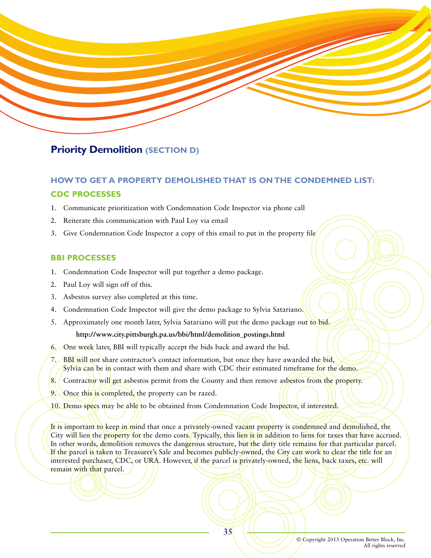

# **Priority Demolition (SECTION D)**

# **HOW TO GET A PROPERTY DEMOLISHED THAT IS ON THE CONDEMNED LIST: CDC PROCESSES**

- 1. Communicate prioritization with Condemnation Code Inspector via phone call
- 2. Reiterate this communication with Paul Loy via email
- 3. Give Condemnation Code Inspector a copy of this email to put in the property file

## **BBI PROCESSES**

- 1. Condemnation Code Inspector will put together a demo package.
- 2. Paul Loy will sign off of this.
- 3. Asbestos survey also completed at this time.
- 4. Condemnation Code Inspector will give the demo package to Sylvia Satariano.
- 5. Approximately one month later, Sylvia Satariano will put the demo package out to bid.

## **http://www.city.pittsburgh.pa.us/bbi/html/demolition\_postings.html**

- 6. One week later, BBI will typically accept the bids back and award the bid.
- 7. BBI will not share contractor's contact information, but once they have awarded the bid, Sylvia can be in contact with them and share with CDC their estimated timeframe for the demo.
- 8. Contractor will get asbestos permit from the County and then remove asbestos from the property.
- 9. Once this is completed, the property can be razed.
- 10. Demo specs may be able to be obtained from Condemnation Code Inspector, if interested.

It is important to keep in mind that once a privately-owned vacant property is condemned and demolished, the City will lien the property for the demo costs. Typically, this lien is in addition to liens for taxes that have accrued. In other words, demolition removes the dangerous structure, but the dirty title remains for that particular parcel. If the parcel is taken to Treasurer's Sale and becomes publicly-owned, the City can work to clear the title for an interested purchaser, CDC, or URA. However, if the parcel is privately-owned, the liens, back taxes, etc. will remain with that parcel.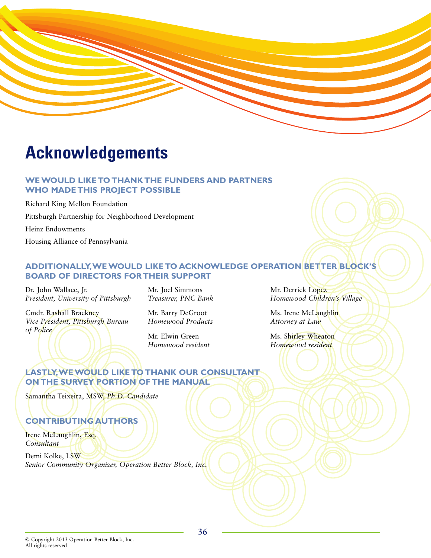# **Acknowledgements**

# **WE WOULD LIKE TO THANK THE FUNDERS AND PARTNERS WHO MADE THIS PROJECT POSSIBLE**

Richard King Mellon Foundation Pittsburgh Partnership for Neighborhood Development Heinz Endowments Housing Alliance of Pennsylvania

# **ADDITIONALLY,WE WOULD LIKE TO ACKNOWLEDGE OPERATION BETTER BLOCK'S BOARD OF DIRECTORS FOR THEIR SUPPORT**

Dr. John Wallace, Jr. *President, University of Pittsburgh*

Cmdr. Rashall Brackney *Vice President, Pittsburgh Bureau of Police*

Mr. Joel Simmons *Treasurer, PNC Bank* 

Mr. Barry DeGroot *Homewood Products*

Mr. Elwin Green *Homewood resident* Mr. Derrick Lopez *Homewood Children's Village*

Ms. Irene McLaughlin *Attorney at Law*

Ms. Shirley Wheaton *Homewood resident*

# **LASTLY,WE WOULD LIKE TO THANK OUR CONSULTANT ON THE SURVEY PORTION OF THE MANUAL**

Samantha Teixeira, MSW, *Ph.D. Candidate*

# **CONTRIBUTING AUTHORS**

Irene McLaughlin, Esq. *Consultant*

Demi Kolke, LSW *Senior Community Organizer, Operation Better Block, Inc.*